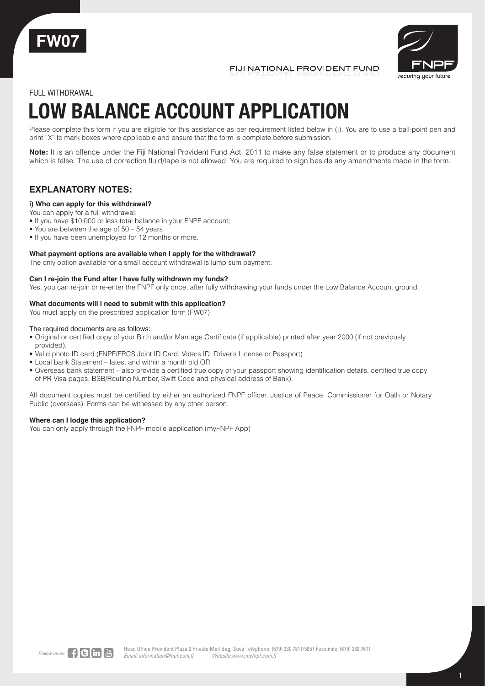

FIJI NATIONAL PROVIDENT FUND



### FULL WITHDRAWAL

# **LOW BALANCE ACCOUNT APPLICATION**

Please complete this form if you are eligible for this assistance as per requirement listed below in (i). You are to use a ball-point pen and print "X" to mark boxes where applicable and ensure that the form is complete before submission.

**Note:** It is an offence under the Fiji National Provident Fund Act, 2011 to make any false statement or to produce any document which is false. The use of correction fluid/tape is not allowed. You are required to sign beside any amendments made in the form.

## **EXPLANATORY NOTES:**

#### **i) Who can apply for this withdrawal?**

- You can apply for a full withdrawal:
- If you have \$10,000 or less total balance in your FNPF account;
- You are between the age of 50 54 years.
- If you have been unemployed for 12 months or more.

#### **What payment options are available when I apply for the withdrawal?**

The only option available for a small account withdrawal is lump sum payment.

#### **Can I re-join the Fund after I have fully withdrawn my funds?**

Yes, you can re-join or re-enter the FNPF only once, after fully withdrawing your funds under the Low Balance Account ground.

#### **What documents will I need to submit with this application?**

You must apply on the prescribed application form (FW07)

The required documents are as follows:

- Original or certified copy of your Birth and/or Marriage Certificate (if applicable) printed after year 2000 (if not previously provided).
- Valid photo ID card (FNPF/FRCS Joint ID Card, Voters ID, Driver's License or Passport)
- Local bank Statement latest and within a month old OR
- Overseas bank statement also provide a certified true copy of your passport showing identification details, certified true copy of PR Visa pages, BSB/Routing Number, Swift Code and physical address of Bank).

All document copies must be certified by either an authorized FNPF officer, Justice of Peace, Commissioner for Oath or Notary Public (overseas). Forms can be witnessed by any other person.

#### **Where can I lodge this application?**

You can only apply through the FNPF mobile application (myFNPF App)

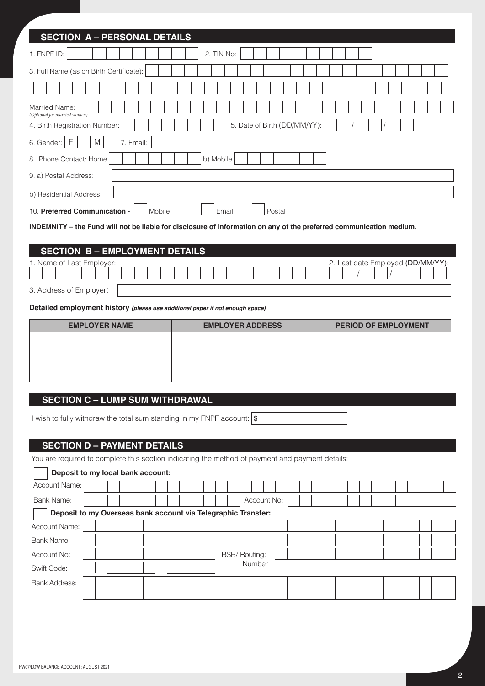| <b>SECTION A - PERSONAL DETAILS</b>                                                                                 |  |  |  |  |  |  |  |  |  |  |
|---------------------------------------------------------------------------------------------------------------------|--|--|--|--|--|--|--|--|--|--|
| 1. FNPF ID:<br>2. TIN No:                                                                                           |  |  |  |  |  |  |  |  |  |  |
| 3. Full Name (as on Birth Certificate):                                                                             |  |  |  |  |  |  |  |  |  |  |
|                                                                                                                     |  |  |  |  |  |  |  |  |  |  |
| Married Name:<br>(Optional for married women)                                                                       |  |  |  |  |  |  |  |  |  |  |
| 5. Date of Birth (DD/MM/YY):<br>4. Birth Registration Number:                                                       |  |  |  |  |  |  |  |  |  |  |
| F<br>M<br>6. Gender:<br>7. Email:                                                                                   |  |  |  |  |  |  |  |  |  |  |
| b) Mobile<br>8. Phone Contact: Home                                                                                 |  |  |  |  |  |  |  |  |  |  |
| 9. a) Postal Address:                                                                                               |  |  |  |  |  |  |  |  |  |  |
| b) Residential Address:                                                                                             |  |  |  |  |  |  |  |  |  |  |
| 10. Preferred Communication -<br>Mobile<br>Email<br>Postal                                                          |  |  |  |  |  |  |  |  |  |  |
| INDEMNITY - the Fund will not be liable for disclosure of information on any of the preferred communication medium. |  |  |  |  |  |  |  |  |  |  |
|                                                                                                                     |  |  |  |  |  |  |  |  |  |  |
| <b>SECTION B-EMPLOYMENT DETAILS</b>                                                                                 |  |  |  |  |  |  |  |  |  |  |

|                               | <b>SECTION D-LIVIFLOTIVILINI DETAILS</b> |                                |
|-------------------------------|------------------------------------------|--------------------------------|
| Last Employer:<br>. Name of L |                                          | /MM/ר<br>2. Last date Employed |
|                               |                                          |                                |
| $-$<br>$    -$                |                                          |                                |

3. Address of Employer:

 $\mathbf{r}$ 

**Detailed employment history** *(please use additional paper if not enough space)*

| <b>EMPLOYER NAME</b> | <b>EMPLOYER ADDRESS</b> | <b>PERIOD OF EMPLOYMENT</b> |  |  |  |  |  |  |  |
|----------------------|-------------------------|-----------------------------|--|--|--|--|--|--|--|
|                      |                         |                             |  |  |  |  |  |  |  |
|                      |                         |                             |  |  |  |  |  |  |  |
|                      |                         |                             |  |  |  |  |  |  |  |
|                      |                         |                             |  |  |  |  |  |  |  |
|                      |                         |                             |  |  |  |  |  |  |  |

**SECTION C – LUMP SUM WITHDRAWAL**

I wish to fully withdraw the total sum standing in my FNPF account:  $\frac{s}{s}$ 

## **SECTION D – PAYMENT DETAILS**

You are required to complete this section indicating the method of payment and payment details:

| Deposit to my local bank account:                             |  |  |  |  |  |  |  |  |  |  |  |        |                      |  |             |  |  |  |  |  |  |  |  |  |  |  |  |
|---------------------------------------------------------------|--|--|--|--|--|--|--|--|--|--|--|--------|----------------------|--|-------------|--|--|--|--|--|--|--|--|--|--|--|--|
| Account Name:                                                 |  |  |  |  |  |  |  |  |  |  |  |        |                      |  |             |  |  |  |  |  |  |  |  |  |  |  |  |
| <b>Bank Name:</b>                                             |  |  |  |  |  |  |  |  |  |  |  |        |                      |  | Account No: |  |  |  |  |  |  |  |  |  |  |  |  |
| Deposit to my Overseas bank account via Telegraphic Transfer: |  |  |  |  |  |  |  |  |  |  |  |        |                      |  |             |  |  |  |  |  |  |  |  |  |  |  |  |
| <b>Account Name:</b>                                          |  |  |  |  |  |  |  |  |  |  |  |        |                      |  |             |  |  |  |  |  |  |  |  |  |  |  |  |
| Bank Name:                                                    |  |  |  |  |  |  |  |  |  |  |  |        |                      |  |             |  |  |  |  |  |  |  |  |  |  |  |  |
| Account No:                                                   |  |  |  |  |  |  |  |  |  |  |  |        | <b>BSB/ Routing:</b> |  |             |  |  |  |  |  |  |  |  |  |  |  |  |
| Swift Code:                                                   |  |  |  |  |  |  |  |  |  |  |  | Number |                      |  |             |  |  |  |  |  |  |  |  |  |  |  |  |
| <b>Bank Address:</b>                                          |  |  |  |  |  |  |  |  |  |  |  |        |                      |  |             |  |  |  |  |  |  |  |  |  |  |  |  |
|                                                               |  |  |  |  |  |  |  |  |  |  |  |        |                      |  |             |  |  |  |  |  |  |  |  |  |  |  |  |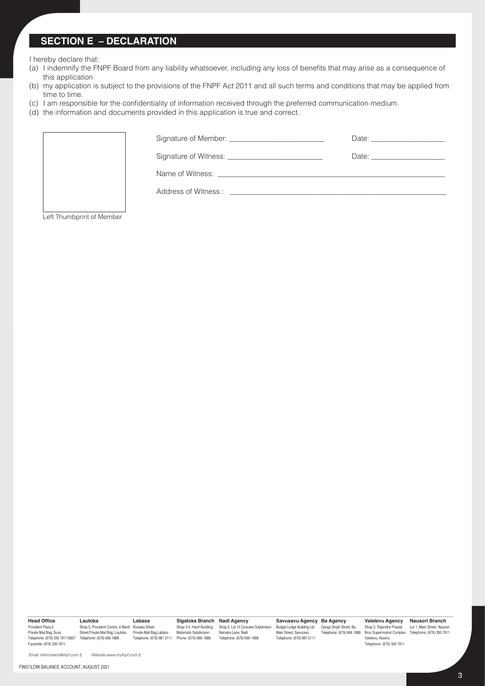## **SECTION E – DECLARATION**

I hereby declare that:

- (a) I indemnify the FNPF Board from any liability whatsoever, including any loss of benefits that may arise as a consequence of this application
- (b) my application is subject to the provisions of the FNPF Act 2011 and all such terms and conditions that may be applied from time to time.
- (c) I am responsible for the confidentiality of information received through the preferred communication medium.
- (d) the information and documents provided in this application is true and correct.



Left Thumbprint of Member

**Head Office** Provident Plaza 2 Facsimile: (679) 330 7611

Private Mail Bag, Suva Telephone: (679) 330 7811/5857 Street,Private Mail Bag, Lautoka Telephone: (679) 666 1888 Private Mail Bag,Labasa **Lautoka** Shop 5, Provident Centre, 6 Naviti Rosawa Street **Labasa**

Telephone: (679) 881 2111 Phone: (679) 666 1888 **Sigatoka Branch Nadi Agency** Shop 3-4, Hanif Building, Shop 2, Lot 13 Concave Subdivision Matamata Subdivision

Namaka Lane, Nadi Telephone: (679) 666 1888

**Savusavu Agency Ba Agency** Budget Lodge Building Ltd Ganga Singh Street, Ba Main Street, Savusavu Telephone: (679) 881 2111

**Valelevu Agency** Shop 3, Rajendra Prasad Telephone: (679) 666 1888 Bros Supermarket Complex Telephone: (679) 330 7811<br>Valelevu, Nasinu Telephone: (679) 330 7811

**Nausori Branch** Lot 1, Main Street, Nausori

*Email: information@fnpf.com.fj Website:www.myfnpf.com.fj*